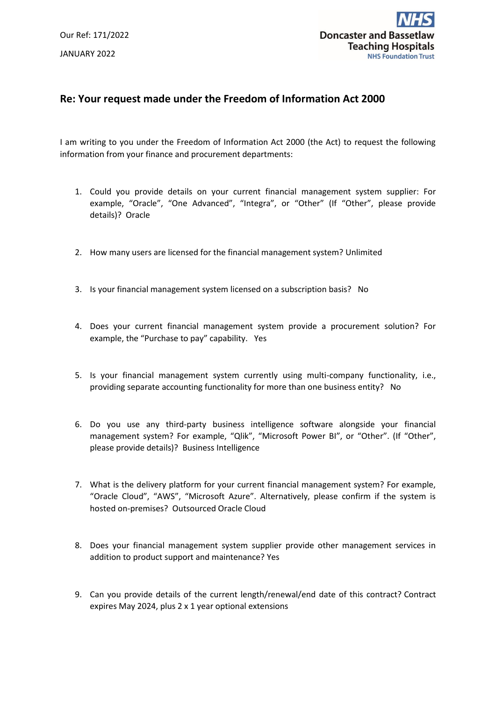

## **Re: Your request made under the Freedom of Information Act 2000**

I am writing to you under the Freedom of Information Act 2000 (the Act) to request the following information from your finance and procurement departments:

- 1. Could you provide details on your current financial management system supplier: For example, "Oracle", "One Advanced", "Integra", or "Other" (If "Other", please provide details)? Oracle
- 2. How many users are licensed for the financial management system? Unlimited
- 3. Is your financial management system licensed on a subscription basis? No
- 4. Does your current financial management system provide a procurement solution? For example, the "Purchase to pay" capability. Yes
- 5. Is your financial management system currently using multi-company functionality, i.e., providing separate accounting functionality for more than one business entity? No
- 6. Do you use any third-party business intelligence software alongside your financial management system? For example, "Qlik", "Microsoft Power BI", or "Other". (If "Other", please provide details)? Business Intelligence
- 7. What is the delivery platform for your current financial management system? For example, "Oracle Cloud", "AWS", "Microsoft Azure". Alternatively, please confirm if the system is hosted on-premises? Outsourced Oracle Cloud
- 8. Does your financial management system supplier provide other management services in addition to product support and maintenance? Yes
- 9. Can you provide details of the current length/renewal/end date of this contract? Contract expires May 2024, plus 2 x 1 year optional extensions